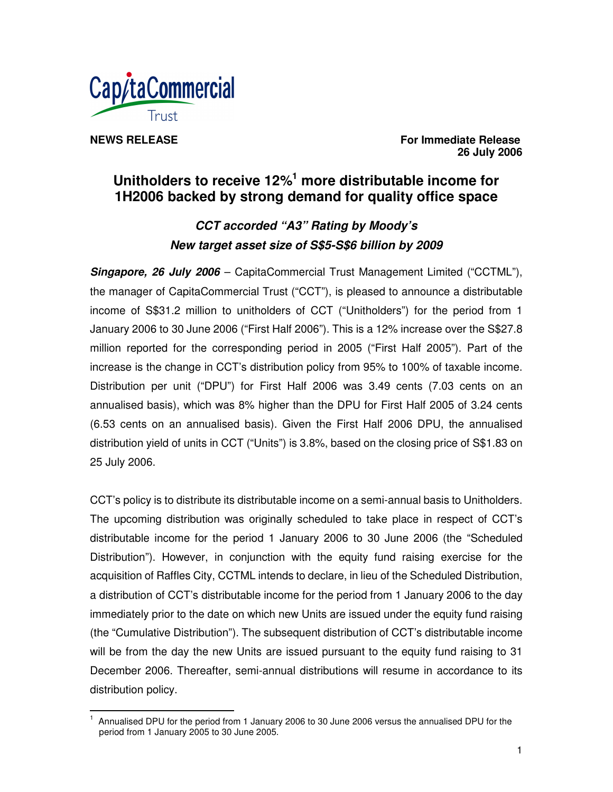

**NEWS RELEASE For Immediate Release 26 July 2006**

# **Unitholders to receive 12% <sup>1</sup> more distributable income for 1H2006 backed by strong demand for quality office space**

# *CCT accorded "A3" Rating by Moody's New target asset size of S\$5-S\$6 billion by 2009*

*Singapore, 26 July 2006* – CapitaCommercial Trust Management Limited ("CCTML"), the manager of CapitaCommercial Trust ("CCT"), is pleased to announce a distributable income of S\$31.2 million to unitholders of CCT ("Unitholders") for the period from 1 January 2006 to 30 June 2006 ("First Half 2006"). This is a 12% increase over the S\$27.8 million reported for the corresponding period in 2005 ("First Half 2005"). Part of the increase is the change in CCT's distribution policy from 95% to 100% of taxable income. Distribution per unit ("DPU") for First Half 2006 was 3.49 cents (7.03 cents on an annualised basis), which was 8% higher than the DPU for First Half 2005 of 3.24 cents (6.53 cents on an annualised basis). Given the First Half 2006 DPU, the annualised distribution yield of units in CCT ("Units") is 3.8%, based on the closing price of S\$1.83 on 25 July 2006.

CCT's policy is to distribute its distributable income on a semi-annual basis to Unitholders. The upcoming distribution was originally scheduled to take place in respect of CCT's distributable income for the period 1 January 2006 to 30 June 2006 (the "Scheduled Distribution"). However, in conjunction with the equity fund raising exercise for the acquisition of Raffles City, CCTML intends to declare, in lieu of the Scheduled Distribution, a distribution of CCT's distributable income for the period from 1 January 2006 to the day immediately prior to the date on which new Units are issued under the equity fund raising (the "Cumulative Distribution"). The subsequent distribution of CCT's distributable income will be from the day the new Units are issued pursuant to the equity fund raising to 31 December 2006. Thereafter, semi-annual distributions will resume in accordance to its distribution policy.

<sup>1</sup> Annualised DPU for the period from 1 January 2006 to 30 June 2006 versus the annualised DPU for the period from 1 January 2005 to 30 June 2005.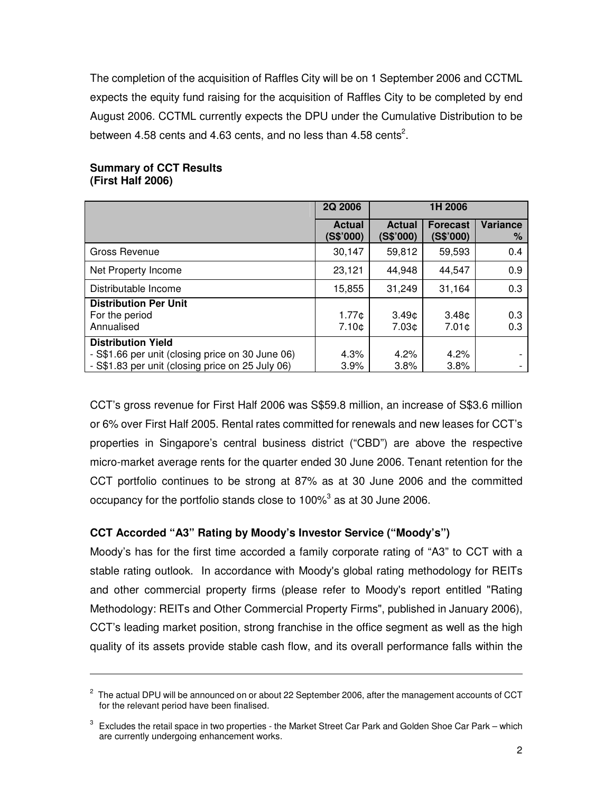The completion of the acquisition of Raffles City will be on 1 September 2006 and CCTML expects the equity fund raising for the acquisition of Raffles City to be completed by end August 2006. CCTML currently expects the DPU under the Cumulative Distribution to be between 4.58 cents and 4.63 cents, and no less than 4.58 cents<sup>2</sup>.

|                                                                                                                                   | <b>2Q 2006</b>             | 1H 2006                    |                                        |               |
|-----------------------------------------------------------------------------------------------------------------------------------|----------------------------|----------------------------|----------------------------------------|---------------|
|                                                                                                                                   | <b>Actual</b><br>(S\$'000) | <b>Actual</b><br>(S\$'000) | <b>Forecast</b><br>(S\$'000)           | Variance<br>% |
| Gross Revenue                                                                                                                     | 30.147                     | 59,812                     | 59,593                                 | 0.4           |
| Net Property Income                                                                                                               | 23.121                     | 44.948                     | 44.547                                 | 0.9           |
| Distributable Income                                                                                                              | 15,855                     | 31,249                     | 31,164                                 | 0.3           |
| <b>Distribution Per Unit</b><br>For the period<br>Annualised                                                                      | 1.77c<br>7.10¢             | 3.49 <sub>0</sub><br>7.03¢ | 3.48 <sub>0</sub><br>7.01 <sub>c</sub> | 0.3<br>0.3    |
| <b>Distribution Yield</b><br>- S\$1.66 per unit (closing price on 30 June 06)<br>- S\$1.83 per unit (closing price on 25 July 06) | $4.3\%$<br>3.9%            | 4.2%<br>3.8%               | 4.2%<br>3.8%                           |               |

### **Summary of CCT Results (First Half 2006)**

CCT's gross revenue for First Half 2006 was S\$59.8 million, an increase of S\$3.6 million or 6% over First Half 2005. Rental rates committed for renewals and new leases for CCT's properties in Singapore's central business district ("CBD") are above the respective micro-market average rents for the quarter ended 30 June 2006. Tenant retention for the CCT portfolio continues to be strong at 87% as at 30 June 2006 and the committed occupancy for the portfolio stands close to 100% $^3$  as at 30 June 2006.

# **CCT Accorded "A3" Rating by Moody's Investor Service ("Moody's")**

Moody's has for the first time accorded a family corporate rating of "A3" to CCT with a stable rating outlook. In accordance with Moody's global rating methodology for REITs and other commercial property firms (please refer to Moody's report entitled "Rating Methodology: REITs and Other Commercial Property Firms", published in January 2006), CCT's leading market position, strong franchise in the office segment as well as the high quality of its assets provide stable cash flow, and its overall performance falls within the

 $^{\text{2}}\,$  The actual DPU will be announced on or about 22 September 2006, after the management accounts of CCT for the relevant period have been finalised.

 $3$  Excludes the retail space in two properties - the Market Street Car Park and Golden Shoe Car Park – which are currently undergoing enhancement works.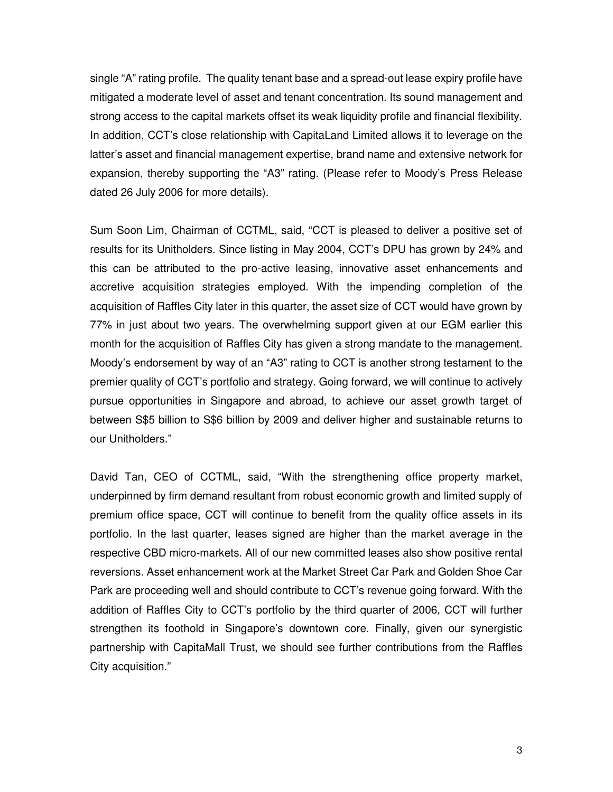single "A" rating profile. The quality tenant base and a spread-out lease expiry profile have mitigated a moderate level of asset and tenant concentration. Its sound management and strong access to the capital markets offset its weak liquidity profile and financial flexibility. In addition, CCT's close relationship with CapitaLand Limited allows it to leverage on the latter's asset and financial management expertise, brand name and extensive network for expansion, thereby supporting the "A3" rating. (Please refer to Moody's Press Release dated 26 July 2006 for more details).

Sum Soon Lim, Chairman of CCTML, said, "CCT is pleased to deliver a positive set of results for its Unitholders. Since listing in May 2004, CCT's DPU has grown by 24% and this can be attributed to the pro-active leasing, innovative asset enhancements and accretive acquisition strategies employed. With the impending completion of the acquisition of Raffles City later in this quarter, the asset size of CCT would have grown by 77% in just about two years. The overwhelming support given at our EGM earlier this month for the acquisition of Raffles City has given a strong mandate to the management. Moody's endorsement by way of an "A3" rating to CCT is another strong testament to the premier quality of CCT's portfolio and strategy. Going forward, we will continue to actively pursue opportunities in Singapore and abroad, to achieve our asset growth target of between S\$5 billion to S\$6 billion by 2009 and deliver higher and sustainable returns to our Unitholders."

David Tan, CEO of CCTML, said, "With the strengthening office property market, underpinned by firm demand resultant from robust economic growth and limited supply of premium office space, CCT will continue to benefit from the quality office assets in its portfolio. In the last quarter, leases signed are higher than the market average in the respective CBD micro-markets. All of our new committed leases also show positive rental reversions. Asset enhancement work at the Market Street Car Park and Golden Shoe Car Park are proceeding well and should contribute to CCT's revenue going forward. With the addition of Raffles City to CCT's portfolio by the third quarter of 2006, CCT will further strengthen its foothold in Singapore's downtown core. Finally, given our synergistic partnership with CapitaMall Trust, we should see further contributions from the Raffles City acquisition."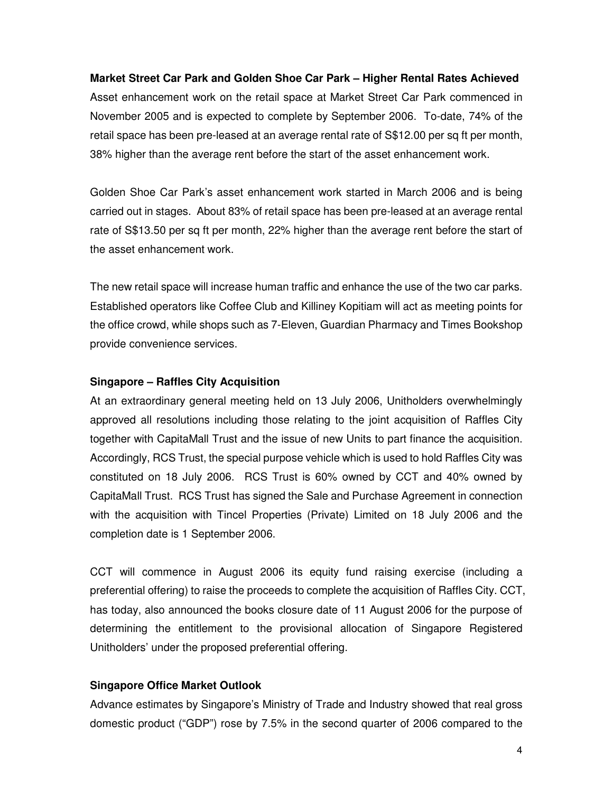#### **Market Street Car Park and Golden Shoe Car Park – Higher Rental Rates Achieved**

Asset enhancement work on the retail space at Market Street Car Park commenced in November 2005 and is expected to complete by September 2006. To-date, 74% of the retail space has been pre-leased at an average rental rate of S\$12.00 per sq ft per month, 38% higher than the average rent before the start of the asset enhancement work.

Golden Shoe Car Park's asset enhancement work started in March 2006 and is being carried out in stages. About 83% of retail space has been pre-leased at an average rental rate of S\$13.50 per sq ft per month, 22% higher than the average rent before the start of the asset enhancement work.

The new retail space will increase human traffic and enhance the use of the two car parks. Established operators like Coffee Club and Killiney Kopitiam will act as meeting points for the office crowd, while shops such as 7-Eleven, Guardian Pharmacy and Times Bookshop provide convenience services.

#### **Singapore – Raffles City Acquisition**

At an extraordinary general meeting held on 13 July 2006, Unitholders overwhelmingly approved all resolutions including those relating to the joint acquisition of Raffles City together with CapitaMall Trust and the issue of new Units to part finance the acquisition. Accordingly, RCS Trust, the special purpose vehicle which is used to hold Raffles City was constituted on 18 July 2006. RCS Trust is 60% owned by CCT and 40% owned by CapitaMall Trust. RCS Trust has signed the Sale and Purchase Agreement in connection with the acquisition with Tincel Properties (Private) Limited on 18 July 2006 and the completion date is 1 September 2006.

CCT will commence in August 2006 its equity fund raising exercise (including a preferential offering) to raise the proceeds to complete the acquisition of Raffles City. CCT, has today, also announced the books closure date of 11 August 2006 for the purpose of determining the entitlement to the provisional allocation of Singapore Registered Unitholders' under the proposed preferential offering.

#### **Singapore Office Market Outlook**

Advance estimates by Singapore's Ministry of Trade and Industry showed that real gross domestic product ("GDP") rose by 7.5% in the second quarter of 2006 compared to the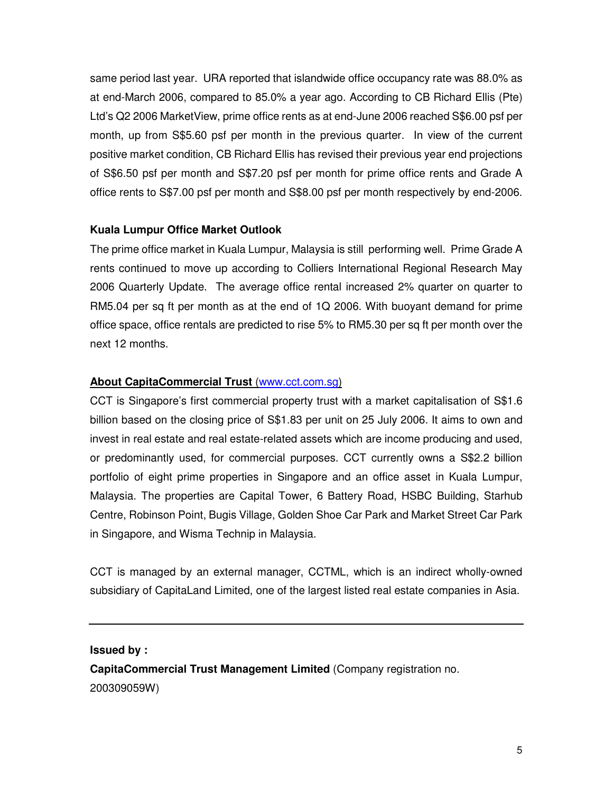same period last year. URA reported that islandwide office occupancy rate was 88.0% as at end-March 2006, compared to 85.0% a year ago. According to CB Richard Ellis (Pte) Ltd's Q2 2006 MarketView, prime office rents as at end-June 2006 reached S\$6.00 psf per month, up from S\$5.60 psf per month in the previous quarter. In view of the current positive market condition, CB Richard Ellis has revised their previous year end projections of S\$6.50 psf per month and S\$7.20 psf per month for prime office rents and Grade A office rents to S\$7.00 psf per month and S\$8.00 psf per month respectively by end-2006.

### **Kuala Lumpur Office Market Outlook**

The prime office market in Kuala Lumpur, Malaysia is still performing well. Prime Grade A rents continued to move up according to Colliers International Regional Research May 2006 Quarterly Update. The average office rental increased 2% quarter on quarter to RM5.04 per sq ft per month as at the end of 1Q 2006. With buoyant demand for prime office space, office rentals are predicted to rise 5% to RM5.30 per sq ft per month over the next 12 months.

# **About CapitaCommercial Trust** (www.cct.com.sg)

CCT is Singapore's first commercial property trust with a market capitalisation of S\$1.6 billion based on the closing price of S\$1.83 per unit on 25 July 2006. It aims to own and invest in real estate and real estate-related assets which are income producing and used, or predominantly used, for commercial purposes. CCT currently owns a S\$2.2 billion portfolio of eight prime properties in Singapore and an office asset in Kuala Lumpur, Malaysia. The properties are Capital Tower, 6 Battery Road, HSBC Building, Starhub Centre, Robinson Point, Bugis Village, Golden Shoe Car Park and Market Street Car Park in Singapore, and Wisma Technip in Malaysia.

CCT is managed by an external manager, CCTML, which is an indirect wholly-owned subsidiary of CapitaLand Limited, one of the largest listed real estate companies in Asia.

#### **Issued by :**

**CapitaCommercial Trust Management Limited** (Company registration no. 200309059W)